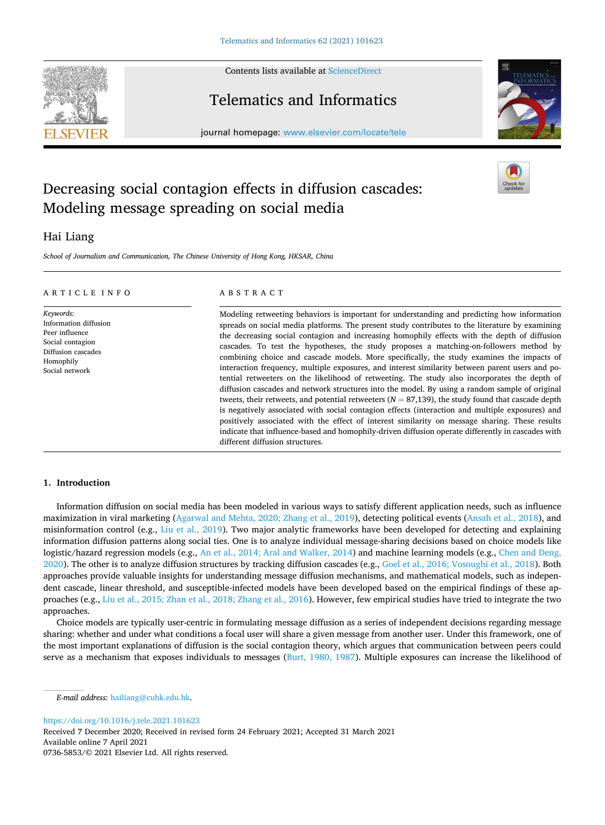Contents lists available at [ScienceDirect](www.sciencedirect.com/science/journal/07365853)



# Telematics and Informatics

journal homepage: [www.elsevier.com/locate/tele](https://www.elsevier.com/locate/tele) 

# Decreasing social contagion effects in diffusion cascades: Modeling message spreading on social media

# Hai Liang

*School of Journalism and Communication, The Chinese University of Hong Kong, HKSAR, China* 

## ARTICLE INFO

*Keywords:*  Information diffusion Peer influence Social contagion Diffusion cascades Homophily Social network

# ABSTRACT

Modeling retweeting behaviors is important for understanding and predicting how information spreads on social media platforms. The present study contributes to the literature by examining the decreasing social contagion and increasing homophily effects with the depth of diffusion cascades. To test the hypotheses, the study proposes a matching-on-followers method by combining choice and cascade models. More specifically, the study examines the impacts of interaction frequency, multiple exposures, and interest similarity between parent users and potential retweeters on the likelihood of retweeting. The study also incorporates the depth of diffusion cascades and network structures into the model. By using a random sample of original tweets, their retweets, and potential retweeters  $(N = 87,139)$ , the study found that cascade depth is negatively associated with social contagion effects (interaction and multiple exposures) and positively associated with the effect of interest similarity on message sharing. These results indicate that influence-based and homophily-driven diffusion operate differently in cascades with different diffusion structures.

# **1. Introduction**

Information diffusion on social media has been modeled in various ways to satisfy different application needs, such as influence maximization in viral marketing ([Agarwal and Mehta, 2020; Zhang et al., 2019](#page-10-0)), detecting political events ([Ansah et al., 2018\)](#page-10-0), and misinformation control (e.g., [Liu et al., 2019](#page-11-0)). Two major analytic frameworks have been developed for detecting and explaining information diffusion patterns along social ties. One is to analyze individual message-sharing decisions based on choice models like logistic/hazard regression models (e.g., [An et al., 2014; Aral and Walker, 2014](#page-10-0)) and machine learning models (e.g., [Chen and Deng,](#page-10-0) [2020\)](#page-10-0). The other is to analyze diffusion structures by tracking diffusion cascades (e.g., [Goel et al., 2016; Vosoughi et al., 2018](#page-10-0)). Both approaches provide valuable insights for understanding message diffusion mechanisms, and mathematical models, such as independent cascade, linear threshold, and susceptible-infected models have been developed based on the empirical findings of these approaches (e.g., [Liu et al., 2015; Zhan et al., 2018; Zhang et al., 2016\)](#page-11-0). However, few empirical studies have tried to integrate the two approaches.

Choice models are typically user-centric in formulating message diffusion as a series of independent decisions regarding message sharing: whether and under what conditions a focal user will share a given message from another user. Under this framework, one of the most important explanations of diffusion is the social contagion theory, which argues that communication between peers could serve as a mechanism that exposes individuals to messages [\(Burt, 1980, 1987\)](#page-10-0). Multiple exposures can increase the likelihood of

Available online 7 April 2021 0736-5853/© 2021 Elsevier Ltd. All rights reserved. Received 7 December 2020; Received in revised form 24 February 2021; Accepted 31 March 2021





*E-mail address:* [hailiang@cuhk.edu.hk.](mailto:hailiang@cuhk.edu.hk)

<https://doi.org/10.1016/j.tele.2021.101623>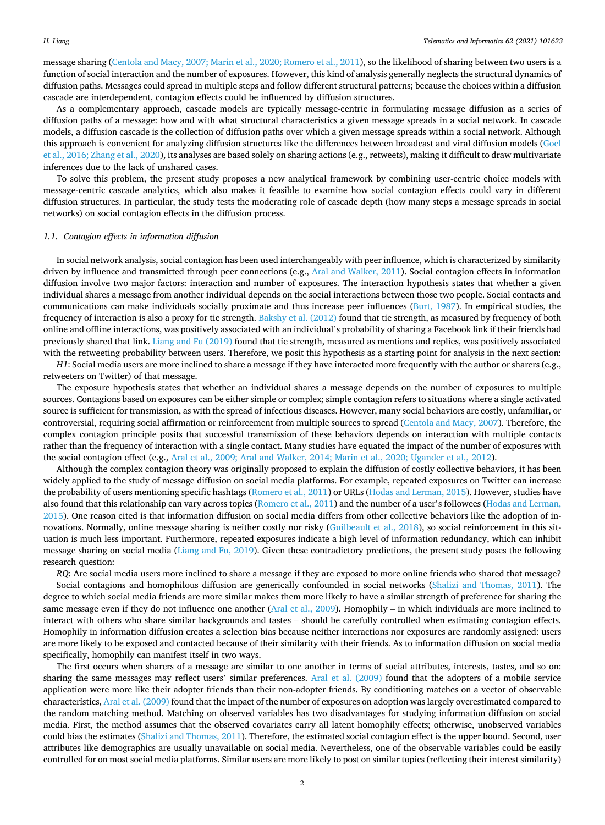message sharing ([Centola and Macy, 2007; Marin et al., 2020; Romero et al., 2011](#page-10-0)), so the likelihood of sharing between two users is a function of social interaction and the number of exposures. However, this kind of analysis generally neglects the structural dynamics of diffusion paths. Messages could spread in multiple steps and follow different structural patterns; because the choices within a diffusion cascade are interdependent, contagion effects could be influenced by diffusion structures.

As a complementary approach, cascade models are typically message-centric in formulating message diffusion as a series of diffusion paths of a message: how and with what structural characteristics a given message spreads in a social network. In cascade models, a diffusion cascade is the collection of diffusion paths over which a given message spreads within a social network. Although this approach is convenient for analyzing diffusion structures like the differences between broadcast and viral diffusion models [\(Goel](#page-10-0) [et al., 2016; Zhang et al., 2020](#page-10-0)), its analyses are based solely on sharing actions (e.g., retweets), making it difficult to draw multivariate inferences due to the lack of unshared cases.

To solve this problem, the present study proposes a new analytical framework by combining user-centric choice models with message-centric cascade analytics, which also makes it feasible to examine how social contagion effects could vary in different diffusion structures. In particular, the study tests the moderating role of cascade depth (how many steps a message spreads in social networks) on social contagion effects in the diffusion process.

## *1.1. Contagion effects in information diffusion*

In social network analysis, social contagion has been used interchangeably with peer influence, which is characterized by similarity driven by influence and transmitted through peer connections (e.g., [Aral and Walker, 2011](#page-10-0)). Social contagion effects in information diffusion involve two major factors: interaction and number of exposures. The interaction hypothesis states that whether a given individual shares a message from another individual depends on the social interactions between those two people. Social contacts and communications can make individuals socially proximate and thus increase peer influences [\(Burt, 1987](#page-10-0)). In empirical studies, the frequency of interaction is also a proxy for tie strength. [Bakshy et al. \(2012\)](#page-10-0) found that tie strength, as measured by frequency of both online and offline interactions, was positively associated with an individual's probability of sharing a Facebook link if their friends had previously shared that link. [Liang and Fu \(2019\)](#page-11-0) found that tie strength, measured as mentions and replies, was positively associated with the retweeting probability between users. Therefore, we posit this hypothesis as a starting point for analysis in the next section:

*H1*: Social media users are more inclined to share a message if they have interacted more frequently with the author or sharers (e.g., retweeters on Twitter) of that message.

The exposure hypothesis states that whether an individual shares a message depends on the number of exposures to multiple sources. Contagions based on exposures can be either simple or complex; simple contagion refers to situations where a single activated source is sufficient for transmission, as with the spread of infectious diseases. However, many social behaviors are costly, unfamiliar, or controversial, requiring social affirmation or reinforcement from multiple sources to spread [\(Centola and Macy, 2007](#page-10-0)). Therefore, the complex contagion principle posits that successful transmission of these behaviors depends on interaction with multiple contacts rather than the frequency of interaction with a single contact. Many studies have equated the impact of the number of exposures with the social contagion effect (e.g., [Aral et al., 2009; Aral and Walker, 2014; Marin et al., 2020; Ugander et al., 2012](#page-10-0)).

Although the complex contagion theory was originally proposed to explain the diffusion of costly collective behaviors, it has been widely applied to the study of message diffusion on social media platforms. For example, repeated exposures on Twitter can increase the probability of users mentioning specific hashtags ([Romero et al., 2011](#page-11-0)) or URLs [\(Hodas and Lerman, 2015\)](#page-10-0). However, studies have also found that this relationship can vary across topics [\(Romero et al., 2011\)](#page-11-0) and the number of a user's followees ([Hodas and Lerman,](#page-10-0) [2015\)](#page-10-0). One reason cited is that information diffusion on social media differs from other collective behaviors like the adoption of innovations. Normally, online message sharing is neither costly nor risky ([Guilbeault et al., 2018\)](#page-10-0), so social reinforcement in this situation is much less important. Furthermore, repeated exposures indicate a high level of information redundancy, which can inhibit message sharing on social media ([Liang and Fu, 2019](#page-11-0)). Given these contradictory predictions, the present study poses the following research question:

*RQ*: Are social media users more inclined to share a message if they are exposed to more online friends who shared that message?

Social contagions and homophilous diffusion are generically confounded in social networks [\(Shalizi and Thomas, 2011\)](#page-11-0). The degree to which social media friends are more similar makes them more likely to have a similar strength of preference for sharing the same message even if they do not influence one another ([Aral et al., 2009\)](#page-10-0). Homophily – in which individuals are more inclined to interact with others who share similar backgrounds and tastes – should be carefully controlled when estimating contagion effects. Homophily in information diffusion creates a selection bias because neither interactions nor exposures are randomly assigned: users are more likely to be exposed and contacted because of their similarity with their friends. As to information diffusion on social media specifically, homophily can manifest itself in two ways.

The first occurs when sharers of a message are similar to one another in terms of social attributes, interests, tastes, and so on: sharing the same messages may reflect users' similar preferences. [Aral et al. \(2009\)](#page-10-0) found that the adopters of a mobile service application were more like their adopter friends than their non-adopter friends. By conditioning matches on a vector of observable characteristics, [Aral et al. \(2009\)](#page-10-0) found that the impact of the number of exposures on adoption was largely overestimated compared to the random matching method. Matching on observed variables has two disadvantages for studying information diffusion on social media. First, the method assumes that the observed covariates carry all latent homophily effects; otherwise, unobserved variables could bias the estimates [\(Shalizi and Thomas, 2011](#page-11-0)). Therefore, the estimated social contagion effect is the upper bound. Second, user attributes like demographics are usually unavailable on social media. Nevertheless, one of the observable variables could be easily controlled for on most social media platforms. Similar users are more likely to post on similar topics (reflecting their interest similarity)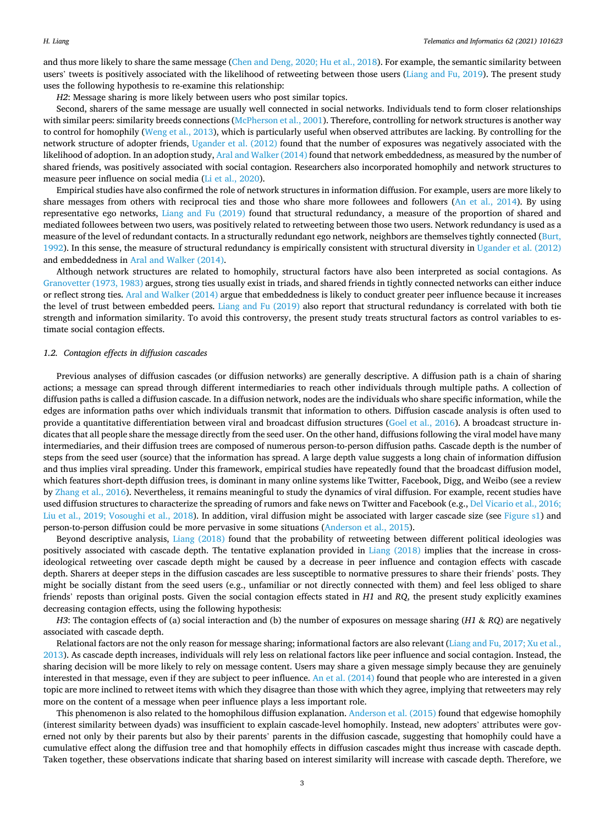and thus more likely to share the same message ([Chen and Deng, 2020; Hu et al., 2018](#page-10-0)). For example, the semantic similarity between users' tweets is positively associated with the likelihood of retweeting between those users ([Liang and Fu, 2019\)](#page-11-0). The present study uses the following hypothesis to re-examine this relationship:

*H2*: Message sharing is more likely between users who post similar topics.

Second, sharers of the same message are usually well connected in social networks. Individuals tend to form closer relationships with similar peers: similarity breeds connections [\(McPherson et al., 2001\)](#page-11-0). Therefore, controlling for network structures is another way to control for homophily [\(Weng et al., 2013\)](#page-11-0), which is particularly useful when observed attributes are lacking. By controlling for the network structure of adopter friends, [Ugander et al. \(2012\)](#page-11-0) found that the number of exposures was negatively associated with the likelihood of adoption. In an adoption study, [Aral and Walker \(2014\)](#page-10-0) found that network embeddedness, as measured by the number of shared friends, was positively associated with social contagion. Researchers also incorporated homophily and network structures to measure peer influence on social media [\(Li et al., 2020\)](#page-10-0).

Empirical studies have also confirmed the role of network structures in information diffusion. For example, users are more likely to share messages from others with reciprocal ties and those who share more followees and followers ([An et al., 2014](#page-10-0)). By using representative ego networks, [Liang and Fu \(2019\)](#page-11-0) found that structural redundancy, a measure of the proportion of shared and mediated followees between two users, was positively related to retweeting between those two users. Network redundancy is used as a measure of the level of redundant contacts. In a structurally redundant ego network, neighbors are themselves tightly connected ([Burt,](#page-10-0) [1992\)](#page-10-0). In this sense, the measure of structural redundancy is empirically consistent with structural diversity in [Ugander et al. \(2012\)](#page-11-0) and embeddedness in [Aral and Walker \(2014\).](#page-10-0)

Although network structures are related to homophily, structural factors have also been interpreted as social contagions. As [Granovetter \(1973, 1983\)](#page-10-0) argues, strong ties usually exist in triads, and shared friends in tightly connected networks can either induce or reflect strong ties. [Aral and Walker \(2014\)](#page-10-0) argue that embeddedness is likely to conduct greater peer influence because it increases the level of trust between embedded peers. [Liang and Fu \(2019\)](#page-11-0) also report that structural redundancy is correlated with both tie strength and information similarity. To avoid this controversy, the present study treats structural factors as control variables to estimate social contagion effects.

#### *1.2. Contagion effects in diffusion cascades*

Previous analyses of diffusion cascades (or diffusion networks) are generally descriptive. A diffusion path is a chain of sharing actions; a message can spread through different intermediaries to reach other individuals through multiple paths. A collection of diffusion paths is called a diffusion cascade. In a diffusion network, nodes are the individuals who share specific information, while the edges are information paths over which individuals transmit that information to others. Diffusion cascade analysis is often used to provide a quantitative differentiation between viral and broadcast diffusion structures [\(Goel et al., 2016](#page-10-0)). A broadcast structure indicates that all people share the message directly from the seed user. On the other hand, diffusions following the viral model have many intermediaries, and their diffusion trees are composed of numerous person-to-person diffusion paths. Cascade depth is the number of steps from the seed user (source) that the information has spread. A large depth value suggests a long chain of information diffusion and thus implies viral spreading. Under this framework, empirical studies have repeatedly found that the broadcast diffusion model, which features short-depth diffusion trees, is dominant in many online systems like Twitter, Facebook, Digg, and Weibo (see a review by [Zhang et al., 2016](#page-11-0)). Nevertheless, it remains meaningful to study the dynamics of viral diffusion. For example, recent studies have used diffusion structures to characterize the spreading of rumors and fake news on Twitter and Facebook (e.g., [Del Vicario et al., 2016;](#page-10-0) [Liu et al., 2019; Vosoughi et al., 2018\)](#page-10-0). In addition, viral diffusion might be associated with larger cascade size (see Figure s1) and person-to-person diffusion could be more pervasive in some situations [\(Anderson et al., 2015](#page-10-0)).

Beyond descriptive analysis, [Liang \(2018\)](#page-10-0) found that the probability of retweeting between different political ideologies was positively associated with cascade depth. The tentative explanation provided in [Liang \(2018\)](#page-10-0) implies that the increase in crossideological retweeting over cascade depth might be caused by a decrease in peer influence and contagion effects with cascade depth. Sharers at deeper steps in the diffusion cascades are less susceptible to normative pressures to share their friends' posts. They might be socially distant from the seed users (e.g., unfamiliar or not directly connected with them) and feel less obliged to share friends' reposts than original posts. Given the social contagion effects stated in *H1* and *RQ*, the present study explicitly examines decreasing contagion effects, using the following hypothesis:

*H3*: The contagion effects of (a) social interaction and (b) the number of exposures on message sharing (*H1* & *RQ*) are negatively associated with cascade depth.

Relational factors are not the only reason for message sharing; informational factors are also relevant [\(Liang and Fu, 2017; Xu et al.,](#page-11-0) [2013\)](#page-11-0). As cascade depth increases, individuals will rely less on relational factors like peer influence and social contagion. Instead, the sharing decision will be more likely to rely on message content. Users may share a given message simply because they are genuinely interested in that message, even if they are subject to peer influence. [An et al. \(2014\)](#page-10-0) found that people who are interested in a given topic are more inclined to retweet items with which they disagree than those with which they agree, implying that retweeters may rely more on the content of a message when peer influence plays a less important role.

This phenomenon is also related to the homophilous diffusion explanation. [Anderson et al. \(2015\)](#page-10-0) found that edgewise homophily (interest similarity between dyads) was insufficient to explain cascade-level homophily. Instead, new adopters' attributes were governed not only by their parents but also by their parents' parents in the diffusion cascade, suggesting that homophily could have a cumulative effect along the diffusion tree and that homophily effects in diffusion cascades might thus increase with cascade depth. Taken together, these observations indicate that sharing based on interest similarity will increase with cascade depth. Therefore, we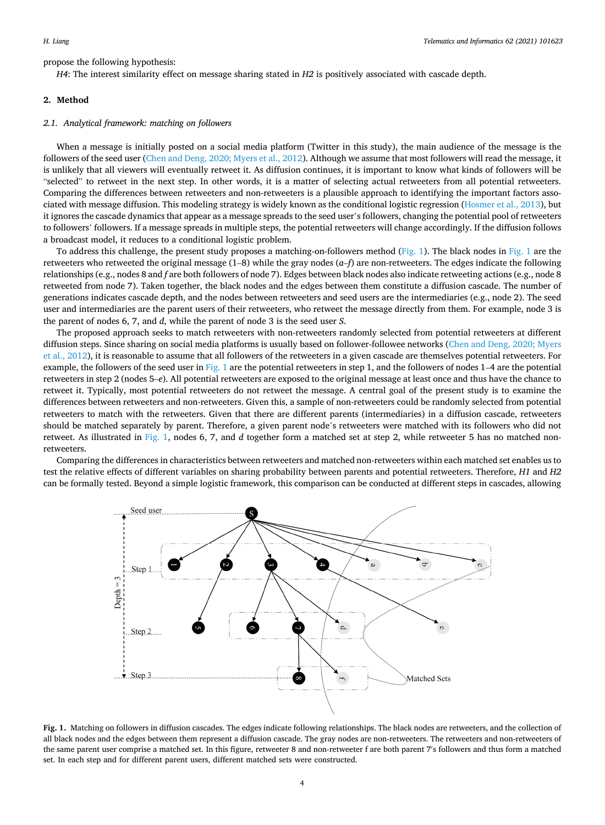propose the following hypothesis:

*H4*: The interest similarity effect on message sharing stated in *H2* is positively associated with cascade depth.

# **2. Method**

# *2.1. Analytical framework: matching on followers*

When a message is initially posted on a social media platform (Twitter in this study), the main audience of the message is the followers of the seed user ([Chen and Deng, 2020; Myers et al., 2012](#page-10-0)). Although we assume that most followers will read the message, it is unlikely that all viewers will eventually retweet it. As diffusion continues, it is important to know what kinds of followers will be "selected" to retweet in the next step. In other words, it is a matter of selecting actual retweeters from all potential retweeters. Comparing the differences between retweeters and non-retweeters is a plausible approach to identifying the important factors associated with message diffusion. This modeling strategy is widely known as the conditional logistic regression [\(Hosmer et al., 2013](#page-10-0)), but it ignores the cascade dynamics that appear as a message spreads to the seed user's followers, changing the potential pool of retweeters to followers' followers. If a message spreads in multiple steps, the potential retweeters will change accordingly. If the diffusion follows a broadcast model, it reduces to a conditional logistic problem.

To address this challenge, the present study proposes a matching-on-followers method (Fig. 1). The black nodes in Fig. 1 are the retweeters who retweeted the original message (1–8) while the gray nodes (*a*–*f*) are non-retweeters. The edges indicate the following relationships (e.g., nodes 8 and *f* are both followers of node 7). Edges between black nodes also indicate retweeting actions (e.g., node 8 retweeted from node 7). Taken together, the black nodes and the edges between them constitute a diffusion cascade. The number of generations indicates cascade depth, and the nodes between retweeters and seed users are the intermediaries (e.g., node 2). The seed user and intermediaries are the parent users of their retweeters, who retweet the message directly from them. For example, node 3 is the parent of nodes 6, 7, and *d*, while the parent of node 3 is the seed user *S*.

The proposed approach seeks to match retweeters with non-retweeters randomly selected from potential retweeters at different diffusion steps. Since sharing on social media platforms is usually based on follower-followee networks [\(Chen and Deng, 2020; Myers](#page-10-0) [et al., 2012\)](#page-10-0), it is reasonable to assume that all followers of the retweeters in a given cascade are themselves potential retweeters. For example, the followers of the seed user in Fig. 1 are the potential retweeters in step 1, and the followers of nodes  $1-4$  are the potential retweeters in step 2 (nodes 5–*e*). All potential retweeters are exposed to the original message at least once and thus have the chance to retweet it. Typically, most potential retweeters do not retweet the message. A central goal of the present study is to examine the differences between retweeters and non-retweeters. Given this, a sample of non-retweeters could be randomly selected from potential retweeters to match with the retweeters. Given that there are different parents (intermediaries) in a diffusion cascade, retweeters should be matched separately by parent. Therefore, a given parent node's retweeters were matched with its followers who did not retweet. As illustrated in Fig. 1, nodes 6, 7, and *d* together form a matched set at step 2, while retweeter 5 has no matched nonretweeters.

Comparing the differences in characteristics between retweeters and matched non-retweeters within each matched set enables us to test the relative effects of different variables on sharing probability between parents and potential retweeters. Therefore, *H1* and *H2*  can be formally tested. Beyond a simple logistic framework, this comparison can be conducted at different steps in cascades, allowing



**Fig. 1.** Matching on followers in diffusion cascades. The edges indicate following relationships. The black nodes are retweeters, and the collection of all black nodes and the edges between them represent a diffusion cascade. The gray nodes are non-retweeters. The retweeters and non-retweeters of the same parent user comprise a matched set. In this figure, retweeter 8 and non-retweeter f are both parent 7′ s followers and thus form a matched set. In each step and for different parent users, different matched sets were constructed.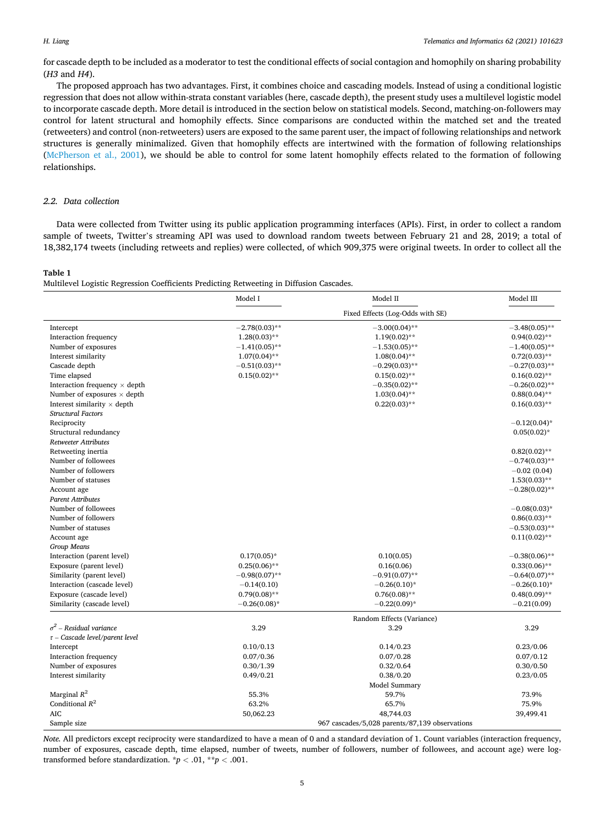## <span id="page-4-0"></span>*H. Liang*

for cascade depth to be included as a moderator to test the conditional effects of social contagion and homophily on sharing probability (*H3* and *H4*).

The proposed approach has two advantages. First, it combines choice and cascading models. Instead of using a conditional logistic regression that does not allow within-strata constant variables (here, cascade depth), the present study uses a multilevel logistic model to incorporate cascade depth. More detail is introduced in the section below on statistical models. Second, matching-on-followers may control for latent structural and homophily effects. Since comparisons are conducted within the matched set and the treated (retweeters) and control (non-retweeters) users are exposed to the same parent user, the impact of following relationships and network structures is generally minimalized. Given that homophily effects are intertwined with the formation of following relationships [\(McPherson et al., 2001\)](#page-11-0), we should be able to control for some latent homophily effects related to the formation of following relationships.

# *2.2. Data collection*

Data were collected from Twitter using its public application programming interfaces (APIs). First, in order to collect a random sample of tweets, Twitter's streaming API was used to download random tweets between February 21 and 28, 2019; a total of 18,382,174 tweets (including retweets and replies) were collected, of which 909,375 were original tweets. In order to collect all the

# **Table 1**

Multilevel Logistic Regression Coefficients Predicting Retweeting in Diffusion Cascades.

|                                      | Model I                                        | Model II         | Model III         |  |  |  |  |
|--------------------------------------|------------------------------------------------|------------------|-------------------|--|--|--|--|
|                                      |                                                |                  |                   |  |  |  |  |
| Intercept                            | $-2.78(0.03)$ **                               | $-3.00(0.04)$ ** | $-3.48(0.05)$ **  |  |  |  |  |
| Interaction frequency                | $1.28(0.03)$ **                                | $1.19(0.02)$ **  | $0.94(0.02)$ **   |  |  |  |  |
| Number of exposures                  | $-1.41(0.05)$ **                               | $-1.53(0.05)$ ** | $-1.40(0.05)$ **  |  |  |  |  |
| Interest similarity                  | $1.07(0.04)$ **                                | $1.08(0.04)$ **  | $0.72(0.03)$ **   |  |  |  |  |
| Cascade depth                        | $-0.51(0.03)$ **                               | $-0.29(0.03)$ ** | $-0.27(0.03)$ **  |  |  |  |  |
| Time elapsed                         | $0.15(0.02)$ **                                | $0.15(0.02)$ **  | $0.16(0.02)$ **   |  |  |  |  |
| Interaction frequency $\times$ depth |                                                | $-0.35(0.02)$ ** | $-0.26(0.02)$ **  |  |  |  |  |
| Number of exposures $\times$ depth   |                                                | $1.03(0.04)$ **  | $0.88(0.04)$ **   |  |  |  |  |
| Interest similarity $\times$ depth   |                                                | $0.22(0.03)$ **  | $0.16(0.03)$ **   |  |  |  |  |
| <b>Structural Factors</b>            |                                                |                  |                   |  |  |  |  |
| Reciprocity                          |                                                |                  | $-0.12(0.04)$ *   |  |  |  |  |
| Structural redundancy                |                                                |                  | $0.05(0.02)$ *    |  |  |  |  |
| <b>Retweeter Attributes</b>          |                                                |                  |                   |  |  |  |  |
| Retweeting inertia                   |                                                |                  | $0.82(0.02)$ **   |  |  |  |  |
| Number of followees                  |                                                |                  | $-0.74(0.03)$ **  |  |  |  |  |
| Number of followers                  |                                                |                  | $-0.02(0.04)$     |  |  |  |  |
| Number of statuses                   |                                                |                  | $1.53(0.03)$ **   |  |  |  |  |
| Account age                          |                                                |                  | $-0.28(0.02)$ **  |  |  |  |  |
| <b>Parent Attributes</b>             |                                                |                  |                   |  |  |  |  |
| Number of followees                  |                                                |                  | $-0.08(0.03)$ *   |  |  |  |  |
| Number of followers                  |                                                |                  | $0.86(0.03)$ **   |  |  |  |  |
| Number of statuses                   |                                                |                  | $-0.53(0.03)$ **  |  |  |  |  |
| Account age                          |                                                |                  | $0.11(0.02)$ **   |  |  |  |  |
| Group Means                          |                                                |                  |                   |  |  |  |  |
| Interaction (parent level)           | $0.17(0.05)$ *                                 | 0.10(0.05)       | $-0.38(0.06)**$   |  |  |  |  |
| Exposure (parent level)              | $0.25(0.06)$ **                                | 0.16(0.06)       | $0.33(0.06)$ **   |  |  |  |  |
| Similarity (parent level)            | $-0.98(0.07)$ **                               | $-0.91(0.07)$ ** | $-0.64(0.07)$ **  |  |  |  |  |
| Interaction (cascade level)          | $-0.14(0.10)$                                  | $-0.26(0.10)*$   | $-0.26(0.10)^{*}$ |  |  |  |  |
| Exposure (cascade level)             | $0.79(0.08)$ **                                | $0.76(0.08)$ **  | $0.48(0.09)$ **   |  |  |  |  |
| Similarity (cascade level)           | $-0.26(0.08)$ *                                | $-0.22(0.09)*$   | $-0.21(0.09)$     |  |  |  |  |
|                                      | Random Effects (Variance)                      |                  |                   |  |  |  |  |
| $\sigma^2$ – Residual variance       | 3.29                                           | 3.29             | 3.29              |  |  |  |  |
| $\tau$ – Cascade level/parent level  |                                                |                  |                   |  |  |  |  |
| Intercept                            | 0.10/0.13                                      | 0.14/0.23        | 0.23/0.06         |  |  |  |  |
| Interaction frequency                | 0.07/0.36                                      | 0.07/0.28        | 0.07/0.12         |  |  |  |  |
| Number of exposures                  | 0.30/1.39                                      | 0.32/0.64        | 0.30/0.50         |  |  |  |  |
| Interest similarity                  | 0.49/0.21                                      | 0.38/0.20        | 0.23/0.05         |  |  |  |  |
|                                      |                                                | Model Summary    |                   |  |  |  |  |
| Marginal $R^2$                       | 55.3%                                          | 59.7%            | 73.9%             |  |  |  |  |
| Conditional $R^2$                    | 63.2%                                          | 65.7%            | 75.9%             |  |  |  |  |
| AIC                                  | 50,062.23                                      | 48,744.03        | 39,499.41         |  |  |  |  |
| Sample size                          | 967 cascades/5,028 parents/87,139 observations |                  |                   |  |  |  |  |

*Note.* All predictors except reciprocity were standardized to have a mean of 0 and a standard deviation of 1. Count variables (interaction frequency, number of exposures, cascade depth, time elapsed, number of tweets, number of followers, number of followees, and account age) were logtransformed before standardization.  $\dot{p}$  < .01,  $\dot{p}$  < .001.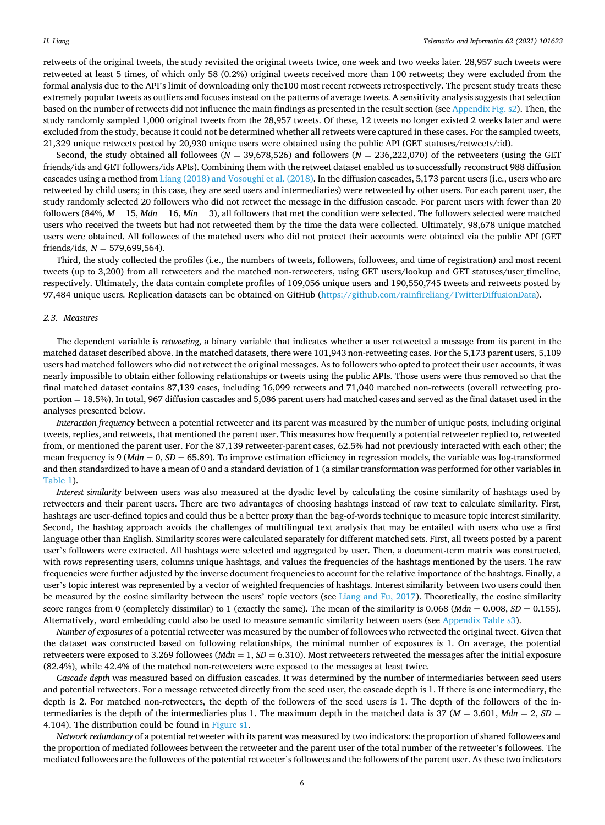retweets of the original tweets, the study revisited the original tweets twice, one week and two weeks later. 28,957 such tweets were retweeted at least 5 times, of which only 58 (0.2%) original tweets received more than 100 retweets; they were excluded from the formal analysis due to the API's limit of downloading only the100 most recent retweets retrospectively. The present study treats these extremely popular tweets as outliers and focuses instead on the patterns of average tweets. A sensitivity analysis suggests that selection based on the number of retweets did not influence the main findings as presented in the result section (see Appendix Fig. s2). Then, the study randomly sampled 1,000 original tweets from the 28,957 tweets. Of these, 12 tweets no longer existed 2 weeks later and were excluded from the study, because it could not be determined whether all retweets were captured in these cases. For the sampled tweets, 21,329 unique retweets posted by 20,930 unique users were obtained using the public API (GET statuses/retweets/:id).

Second, the study obtained all followees ( $N = 39,678,526$ ) and followers ( $N = 236,222,070$ ) of the retweeters (using the GET friends/ids and GET followers/ids APIs). Combining them with the retweet dataset enabled us to successfully reconstruct 988 diffusion cascades using a method from [Liang \(2018\) and Vosoughi et al. \(2018\)](#page-10-0). In the diffusion cascades, 5,173 parent users (i.e., users who are retweeted by child users; in this case, they are seed users and intermediaries) were retweeted by other users. For each parent user, the study randomly selected 20 followers who did not retweet the message in the diffusion cascade. For parent users with fewer than 20 followers (84%,  $M = 15$ ,  $Mdn = 16$ ,  $Min = 3$ ), all followers that met the condition were selected. The followers selected were matched users who received the tweets but had not retweeted them by the time the data were collected. Ultimately, 98,678 unique matched users were obtained. All followees of the matched users who did not protect their accounts were obtained via the public API (GET friends/ids, *N* = 579,699,564).

Third, the study collected the profiles (i.e., the numbers of tweets, followers, followees, and time of registration) and most recent tweets (up to 3,200) from all retweeters and the matched non-retweeters, using GET users/lookup and GET statuses/user timeline, respectively. Ultimately, the data contain complete profiles of 109,056 unique users and 190,550,745 tweets and retweets posted by 97,484 unique users. Replication datasets can be obtained on GitHub [\(https://github.com/rainfireliang/TwitterDiffusionData\)](https://github.com/rainfireliang/TwitterDiffusionData).

#### *2.3. Measures*

The dependent variable is *retweeting*, a binary variable that indicates whether a user retweeted a message from its parent in the matched dataset described above. In the matched datasets, there were 101,943 non-retweeting cases. For the 5,173 parent users, 5,109 users had matched followers who did not retweet the original messages. As to followers who opted to protect their user accounts, it was nearly impossible to obtain either following relationships or tweets using the public APIs. Those users were thus removed so that the final matched dataset contains 87,139 cases, including 16,099 retweets and 71,040 matched non-retweets (overall retweeting proportion = 18.5%). In total, 967 diffusion cascades and 5,086 parent users had matched cases and served as the final dataset used in the analyses presented below.

*Interaction frequency* between a potential retweeter and its parent was measured by the number of unique posts, including original tweets, replies, and retweets, that mentioned the parent user. This measures how frequently a potential retweeter replied to, retweeted from, or mentioned the parent user. For the 87,139 retweeter-parent cases, 62.5% had not previously interacted with each other; the mean frequency is 9 (*Mdn* = 0, *SD* = 65.89). To improve estimation efficiency in regression models, the variable was log-transformed and then standardized to have a mean of 0 and a standard deviation of 1 (a similar transformation was performed for other variables in [Table 1](#page-4-0)).

*Interest similarity* between users was also measured at the dyadic level by calculating the cosine similarity of hashtags used by retweeters and their parent users. There are two advantages of choosing hashtags instead of raw text to calculate similarity. First, hashtags are user-defined topics and could thus be a better proxy than the bag-of-words technique to measure topic interest similarity. Second, the hashtag approach avoids the challenges of multilingual text analysis that may be entailed with users who use a first language other than English. Similarity scores were calculated separately for different matched sets. First, all tweets posted by a parent user's followers were extracted. All hashtags were selected and aggregated by user. Then, a document-term matrix was constructed, with rows representing users, columns unique hashtags, and values the frequencies of the hashtags mentioned by the users. The raw frequencies were further adjusted by the inverse document frequencies to account for the relative importance of the hashtags. Finally, a user's topic interest was represented by a vector of weighted frequencies of hashtags. Interest similarity between two users could then be measured by the cosine similarity between the users' topic vectors (see [Liang and Fu, 2017](#page-11-0)). Theoretically, the cosine similarity score ranges from 0 (completely dissimilar) to 1 (exactly the same). The mean of the similarity is  $0.068$  (*Mdn* =  $0.008$ , *SD* =  $0.155$ ). Alternatively, word embedding could also be used to measure semantic similarity between users (see Appendix Table s3).

*Number of exposures* of a potential retweeter was measured by the number of followees who retweeted the original tweet. Given that the dataset was constructed based on following relationships, the minimal number of exposures is 1. On average, the potential retweeters were exposed to 3.269 followees (*Mdn* = 1, *SD* = 6.310). Most retweeters retweeted the messages after the initial exposure (82.4%), while 42.4% of the matched non-retweeters were exposed to the messages at least twice.

*Cascade depth* was measured based on diffusion cascades. It was determined by the number of intermediaries between seed users and potential retweeters. For a message retweeted directly from the seed user, the cascade depth is 1. If there is one intermediary, the depth is 2. For matched non-retweeters, the depth of the followers of the seed users is 1. The depth of the followers of the intermediaries is the depth of the intermediaries plus 1. The maximum depth in the matched data is 37 (*M* = 3.601, *Mdn* = 2, *SD* = 4.104). The distribution could be found in Figure s1.

*Network redundancy* of a potential retweeter with its parent was measured by two indicators: the proportion of shared followees and the proportion of mediated followees between the retweeter and the parent user of the total number of the retweeter's followees. The mediated followees are the followees of the potential retweeter's followees and the followers of the parent user. As these two indicators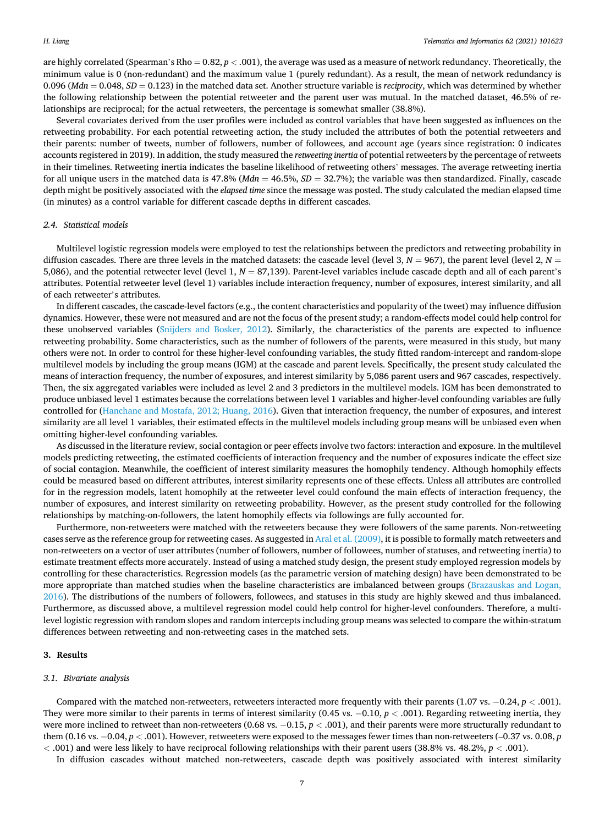are highly correlated (Spearman's Rho  $= 0.82$ ,  $p < .001$ ), the average was used as a measure of network redundancy. Theoretically, the minimum value is 0 (non-redundant) and the maximum value 1 (purely redundant). As a result, the mean of network redundancy is 0.096 (*Mdn* = 0.048, *SD* = 0.123) in the matched data set. Another structure variable is *reciprocity*, which was determined by whether the following relationship between the potential retweeter and the parent user was mutual. In the matched dataset, 46.5% of relationships are reciprocal; for the actual retweeters, the percentage is somewhat smaller (38.8%).

Several covariates derived from the user profiles were included as control variables that have been suggested as influences on the retweeting probability. For each potential retweeting action, the study included the attributes of both the potential retweeters and their parents: number of tweets, number of followers, number of followees, and account age (years since registration: 0 indicates accounts registered in 2019). In addition, the study measured the *retweeting inertia* of potential retweeters by the percentage of retweets in their timelines. Retweeting inertia indicates the baseline likelihood of retweeting others' messages. The average retweeting inertia for all unique users in the matched data is 47.8% (*Mdn* = 46.5%, *SD* = 32.7%); the variable was then standardized. Finally, cascade depth might be positively associated with the *elapsed time* since the message was posted. The study calculated the median elapsed time (in minutes) as a control variable for different cascade depths in different cascades.

# *2.4. Statistical models*

Multilevel logistic regression models were employed to test the relationships between the predictors and retweeting probability in diffusion cascades. There are three levels in the matched datasets: the cascade level (level 3,  $N = 967$ ), the parent level (level 2,  $N =$ 5,086), and the potential retweeter level (level  $1, N = 87,139$ ). Parent-level variables include cascade depth and all of each parent's attributes. Potential retweeter level (level 1) variables include interaction frequency, number of exposures, interest similarity, and all of each retweeter's attributes.

In different cascades, the cascade-level factors (e.g., the content characteristics and popularity of the tweet) may influence diffusion dynamics. However, these were not measured and are not the focus of the present study; a random-effects model could help control for these unobserved variables ([Snijders and Bosker, 2012](#page-11-0)). Similarly, the characteristics of the parents are expected to influence retweeting probability. Some characteristics, such as the number of followers of the parents, were measured in this study, but many others were not. In order to control for these higher-level confounding variables, the study fitted random-intercept and random-slope multilevel models by including the group means (IGM) at the cascade and parent levels. Specifically, the present study calculated the means of interaction frequency, the number of exposures, and interest similarity by 5,086 parent users and 967 cascades, respectively. Then, the six aggregated variables were included as level 2 and 3 predictors in the multilevel models. IGM has been demonstrated to produce unbiased level 1 estimates because the correlations between level 1 variables and higher-level confounding variables are fully controlled for [\(Hanchane and Mostafa, 2012; Huang, 2016\)](#page-10-0). Given that interaction frequency, the number of exposures, and interest similarity are all level 1 variables, their estimated effects in the multilevel models including group means will be unbiased even when omitting higher-level confounding variables.

As discussed in the literature review, social contagion or peer effects involve two factors: interaction and exposure. In the multilevel models predicting retweeting, the estimated coefficients of interaction frequency and the number of exposures indicate the effect size of social contagion. Meanwhile, the coefficient of interest similarity measures the homophily tendency. Although homophily effects could be measured based on different attributes, interest similarity represents one of these effects. Unless all attributes are controlled for in the regression models, latent homophily at the retweeter level could confound the main effects of interaction frequency, the number of exposures, and interest similarity on retweeting probability. However, as the present study controlled for the following relationships by matching-on-followers, the latent homophily effects via followings are fully accounted for.

Furthermore, non-retweeters were matched with the retweeters because they were followers of the same parents. Non-retweeting cases serve as the reference group for retweeting cases. As suggested in [Aral et al. \(2009\),](#page-10-0) it is possible to formally match retweeters and non-retweeters on a vector of user attributes (number of followers, number of followees, number of statuses, and retweeting inertia) to estimate treatment effects more accurately. Instead of using a matched study design, the present study employed regression models by controlling for these characteristics. Regression models (as the parametric version of matching design) have been demonstrated to be more appropriate than matched studies when the baseline characteristics are imbalanced between groups ([Brazauskas and Logan,](#page-10-0) [2016\)](#page-10-0). The distributions of the numbers of followers, followees, and statuses in this study are highly skewed and thus imbalanced. Furthermore, as discussed above, a multilevel regression model could help control for higher-level confounders. Therefore, a multilevel logistic regression with random slopes and random intercepts including group means was selected to compare the within-stratum differences between retweeting and non-retweeting cases in the matched sets.

#### **3. Results**

#### *3.1. Bivariate analysis*

Compared with the matched non-retweeters, retweeters interacted more frequently with their parents (1.07 vs. − 0.24, *p <* .001). They were more similar to their parents in terms of interest similarity (0.45 vs. − 0.10, *p <* .001). Regarding retweeting inertia, they were more inclined to retweet than non-retweeters (0.68 vs. −0.15,  $p$  < .001), and their parents were more structurally redundant to them (0.16 vs. − 0.04, *p <* .001). However, retweeters were exposed to the messages fewer times than non-retweeters (–0.37 vs. 0.08, *p <* .001) and were less likely to have reciprocal following relationships with their parent users (38.8% vs. 48.2%, *p <* .001).

In diffusion cascades without matched non-retweeters, cascade depth was positively associated with interest similarity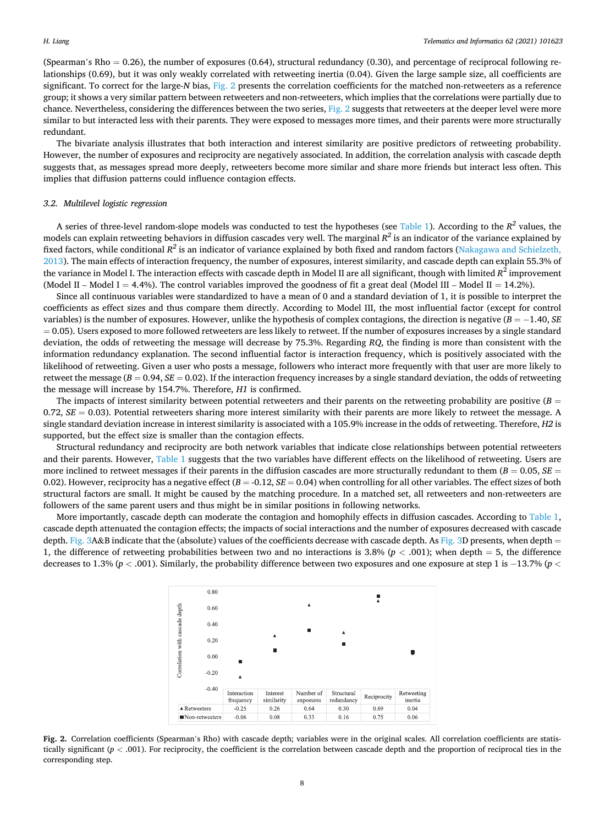(Spearman's Rho = 0.26), the number of exposures (0.64), structural redundancy (0.30), and percentage of reciprocal following relationships (0.69), but it was only weakly correlated with retweeting inertia (0.04). Given the large sample size, all coefficients are significant. To correct for the large-*N* bias, Fig. 2 presents the correlation coefficients for the matched non-retweeters as a reference group; it shows a very similar pattern between retweeters and non-retweeters, which implies that the correlations were partially due to chance. Nevertheless, considering the differences between the two series, Fig. 2 suggests that retweeters at the deeper level were more similar to but interacted less with their parents. They were exposed to messages more times, and their parents were more structurally redundant.

The bivariate analysis illustrates that both interaction and interest similarity are positive predictors of retweeting probability. However, the number of exposures and reciprocity are negatively associated. In addition, the correlation analysis with cascade depth suggests that, as messages spread more deeply, retweeters become more similar and share more friends but interact less often. This implies that diffusion patterns could influence contagion effects.

## *3.2. Multilevel logistic regression*

A series of three-level random-slope models was conducted to test the hypotheses (see [Table 1\)](#page-4-0). According to the  $R^2$  values, the models can explain retweeting behaviors in diffusion cascades very well. The marginal *R2* is an indicator of the variance explained by fixed factors, while conditional  $R^2$  is an indicator of variance explained by both fixed and random factors ([Nakagawa and Schielzeth,](#page-11-0) [2013\)](#page-11-0). The main effects of interaction frequency, the number of exposures, interest similarity, and cascade depth can explain 55.3% of the variance in Model I. The interaction effects with cascade depth in Model II are all significant, though with limited *R*<sup>2</sup> improvement (Model II – Model I = 4.4%). The control variables improved the goodness of fit a great deal (Model III – Model II = 14.2%).

Since all continuous variables were standardized to have a mean of 0 and a standard deviation of 1, it is possible to interpret the coefficients as effect sizes and thus compare them directly. According to Model III, the most influential factor (except for control variables) is the number of exposures. However, unlike the hypothesis of complex contagions, the direction is negative  $(B = -1.40, SE)$  $= 0.05$ ). Users exposed to more followed retweeters are less likely to retweet. If the number of exposures increases by a single standard deviation, the odds of retweeting the message will decrease by 75.3%. Regarding *RQ*, the finding is more than consistent with the information redundancy explanation. The second influential factor is interaction frequency, which is positively associated with the likelihood of retweeting. Given a user who posts a message, followers who interact more frequently with that user are more likely to retweet the message ( $B = 0.94$ ,  $SE = 0.02$ ). If the interaction frequency increases by a single standard deviation, the odds of retweeting the message will increase by 154.7%. Therefore, *H1* is confirmed.

The impacts of interest similarity between potential retweeters and their parents on the retweeting probability are positive  $(B =$ 0.72, *SE* = 0.03). Potential retweeters sharing more interest similarity with their parents are more likely to retweet the message. A single standard deviation increase in interest similarity is associated with a 105.9% increase in the odds of retweeting. Therefore, *H2* is supported, but the effect size is smaller than the contagion effects.

Structural redundancy and reciprocity are both network variables that indicate close relationships between potential retweeters and their parents. However, [Table 1](#page-4-0) suggests that the two variables have different effects on the likelihood of retweeting. Users are more inclined to retweet messages if their parents in the diffusion cascades are more structurally redundant to them  $(B = 0.05, SE = 0.05)$ 0.02). However, reciprocity has a negative effect (*B* = -0.12, *SE* = 0.04) when controlling for all other variables. The effect sizes of both structural factors are small. It might be caused by the matching procedure. In a matched set, all retweeters and non-retweeters are followers of the same parent users and thus might be in similar positions in following networks.

More importantly, cascade depth can moderate the contagion and homophily effects in diffusion cascades. According to [Table 1](#page-4-0), cascade depth attenuated the contagion effects; the impacts of social interactions and the number of exposures decreased with cascade depth. [Fig. 3](#page-8-0)A&B indicate that the (absolute) values of the coefficients decrease with cascade depth. As Fig. 3D presents, when depth  $=$ 1, the difference of retweeting probabilities between two and no interactions is 3.8% (*p <* .001); when depth = 5, the difference decreases to 1.3% (*p <* .001). Similarly, the probability difference between two exposures and one exposure at step 1 is − 13.7% (*p <*

|                                | 0.80           |                          |                        |                        |                          |                  |                       |
|--------------------------------|----------------|--------------------------|------------------------|------------------------|--------------------------|------------------|-----------------------|
| Correlation with cascade depth | 0.60           |                          |                        | ▲                      |                          | $\blacktriangle$ |                       |
|                                | 0.40           |                          |                        |                        |                          |                  |                       |
|                                | 0.20           |                          | $\blacktriangle$       |                        | ٨                        |                  |                       |
|                                | 0.00           | ٠                        | -                      |                        |                          |                  | Ţ                     |
|                                | $-0.20$        | ▲                        |                        |                        |                          |                  |                       |
|                                | $-0.40$        |                          |                        |                        |                          |                  |                       |
|                                |                | Interaction<br>frequency | Interest<br>similarity | Number of<br>exposures | Structural<br>redundancy | Reciprocity      | Retweeting<br>inertia |
|                                | ▲ Retweeters   | $-0.25$                  | 0.26                   | 0.64                   | 0.30                     | 0.69             | 0.04                  |
|                                | Non-retweeters | $-0.06$                  | 0.08                   | 0.33                   | 0.16                     | 0.75             | 0.06                  |

**Fig. 2.** Correlation coefficients (Spearman's Rho) with cascade depth; variables were in the original scales. All correlation coefficients are statistically significant  $(p < .001)$ . For reciprocity, the coefficient is the correlation between cascade depth and the proportion of reciprocal ties in the corresponding step.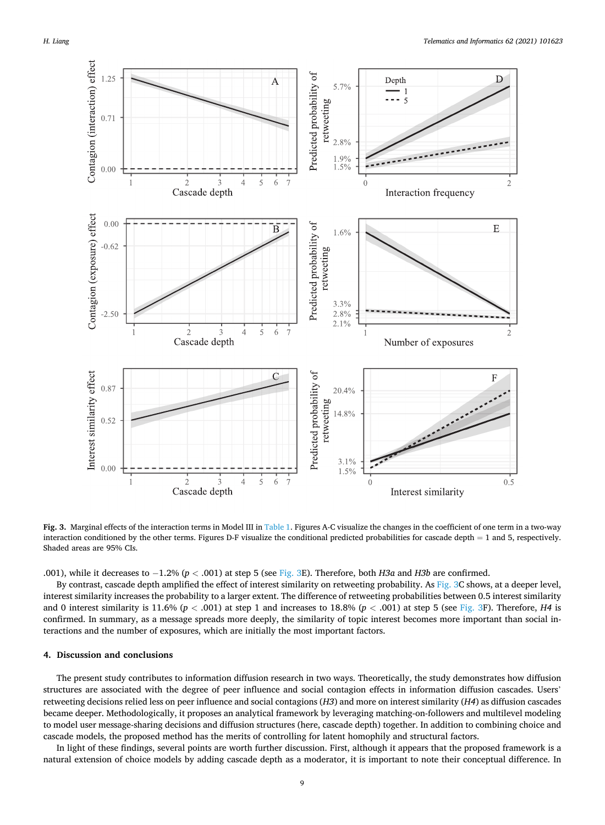<span id="page-8-0"></span>

**Fig. 3.** Marginal effects of the interaction terms in Model III in [Table 1](#page-4-0). Figures A-C visualize the changes in the coefficient of one term in a two-way interaction conditioned by the other terms. Figures D-F visualize the conditional predicted probabilities for cascade depth = 1 and 5, respectively. Shaded areas are 95% CIs.

.001), while it decreases to − 1.2% (*p <* .001) at step 5 (see Fig. 3E). Therefore, both *H3a* and *H3b* are confirmed.

By contrast, cascade depth amplified the effect of interest similarity on retweeting probability. As Fig. 3C shows, at a deeper level, interest similarity increases the probability to a larger extent. The difference of retweeting probabilities between 0.5 interest similarity and 0 interest similarity is 11.6%  $(p < .001)$  at step 1 and increases to 18.8%  $(p < .001)$  at step 5 (see Fig. 3F). Therefore, *H4* is confirmed. In summary, as a message spreads more deeply, the similarity of topic interest becomes more important than social interactions and the number of exposures, which are initially the most important factors.

# **4. Discussion and conclusions**

The present study contributes to information diffusion research in two ways. Theoretically, the study demonstrates how diffusion structures are associated with the degree of peer influence and social contagion effects in information diffusion cascades. Users' retweeting decisions relied less on peer influence and social contagions (*H3*) and more on interest similarity (*H4*) as diffusion cascades became deeper. Methodologically, it proposes an analytical framework by leveraging matching-on-followers and multilevel modeling to model user message-sharing decisions and diffusion structures (here, cascade depth) together. In addition to combining choice and cascade models, the proposed method has the merits of controlling for latent homophily and structural factors.

In light of these findings, several points are worth further discussion. First, although it appears that the proposed framework is a natural extension of choice models by adding cascade depth as a moderator, it is important to note their conceptual difference. In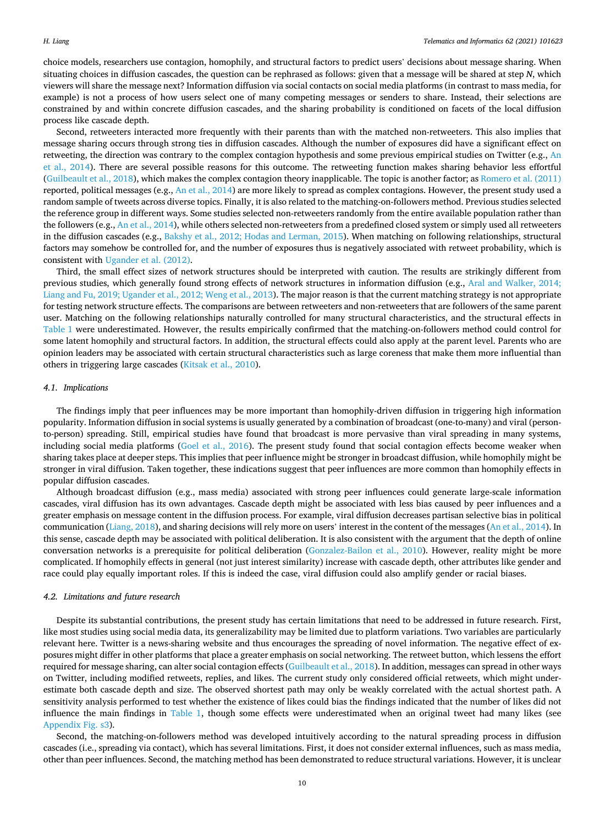choice models, researchers use contagion, homophily, and structural factors to predict users' decisions about message sharing. When situating choices in diffusion cascades, the question can be rephrased as follows: given that a message will be shared at step *N*, which viewers will share the message next? Information diffusion via social contacts on social media platforms (in contrast to mass media, for example) is not a process of how users select one of many competing messages or senders to share. Instead, their selections are constrained by and within concrete diffusion cascades, and the sharing probability is conditioned on facets of the local diffusion process like cascade depth.

Second, retweeters interacted more frequently with their parents than with the matched non-retweeters. This also implies that message sharing occurs through strong ties in diffusion cascades. Although the number of exposures did have a significant effect on retweeting, the direction was contrary to the complex contagion hypothesis and some previous empirical studies on Twitter (e.g., [An](#page-10-0) [et al., 2014\)](#page-10-0). There are several possible reasons for this outcome. The retweeting function makes sharing behavior less effortful [\(Guilbeault et al., 2018\)](#page-10-0), which makes the complex contagion theory inapplicable. The topic is another factor; as [Romero et al. \(2011\)](#page-11-0) reported, political messages (e.g., [An et al., 2014](#page-10-0)) are more likely to spread as complex contagions. However, the present study used a random sample of tweets across diverse topics. Finally, it is also related to the matching-on-followers method. Previous studies selected the reference group in different ways. Some studies selected non-retweeters randomly from the entire available population rather than the followers (e.g., [An et al., 2014](#page-10-0)), while others selected non-retweeters from a predefined closed system or simply used all retweeters in the diffusion cascades (e.g., [Bakshy et al., 2012; Hodas and Lerman, 2015\)](#page-10-0). When matching on following relationships, structural factors may somehow be controlled for, and the number of exposures thus is negatively associated with retweet probability, which is consistent with [Ugander et al. \(2012\)](#page-11-0).

Third, the small effect sizes of network structures should be interpreted with caution. The results are strikingly different from previous studies, which generally found strong effects of network structures in information diffusion (e.g., [Aral and Walker, 2014;](#page-10-0) [Liang and Fu, 2019; Ugander et al., 2012; Weng et al., 2013\)](#page-10-0). The major reason is that the current matching strategy is not appropriate for testing network structure effects. The comparisons are between retweeters and non-retweeters that are followers of the same parent user. Matching on the following relationships naturally controlled for many structural characteristics, and the structural effects in [Table 1](#page-4-0) were underestimated. However, the results empirically confirmed that the matching-on-followers method could control for some latent homophily and structural factors. In addition, the structural effects could also apply at the parent level. Parents who are opinion leaders may be associated with certain structural characteristics such as large coreness that make them more influential than others in triggering large cascades [\(Kitsak et al., 2010\)](#page-10-0).

## *4.1. Implications*

The findings imply that peer influences may be more important than homophily-driven diffusion in triggering high information popularity. Information diffusion in social systems is usually generated by a combination of broadcast (one-to-many) and viral (personto-person) spreading. Still, empirical studies have found that broadcast is more pervasive than viral spreading in many systems, including social media platforms ([Goel et al., 2016\)](#page-10-0). The present study found that social contagion effects become weaker when sharing takes place at deeper steps. This implies that peer influence might be stronger in broadcast diffusion, while homophily might be stronger in viral diffusion. Taken together, these indications suggest that peer influences are more common than homophily effects in popular diffusion cascades.

Although broadcast diffusion (e.g., mass media) associated with strong peer influences could generate large-scale information cascades, viral diffusion has its own advantages. Cascade depth might be associated with less bias caused by peer influences and a greater emphasis on message content in the diffusion process. For example, viral diffusion decreases partisan selective bias in political communication [\(Liang, 2018\)](#page-10-0), and sharing decisions will rely more on users' interest in the content of the messages [\(An et al., 2014](#page-10-0)). In this sense, cascade depth may be associated with political deliberation. It is also consistent with the argument that the depth of online conversation networks is a prerequisite for political deliberation [\(Gonzalez-Bailon et al., 2010](#page-10-0)). However, reality might be more complicated. If homophily effects in general (not just interest similarity) increase with cascade depth, other attributes like gender and race could play equally important roles. If this is indeed the case, viral diffusion could also amplify gender or racial biases.

## *4.2. Limitations and future research*

Despite its substantial contributions, the present study has certain limitations that need to be addressed in future research. First, like most studies using social media data, its generalizability may be limited due to platform variations. Two variables are particularly relevant here. Twitter is a news-sharing website and thus encourages the spreading of novel information. The negative effect of exposures might differ in other platforms that place a greater emphasis on social networking. The retweet button, which lessens the effort required for message sharing, can alter social contagion effects ([Guilbeault et al., 2018](#page-10-0)). In addition, messages can spread in other ways on Twitter, including modified retweets, replies, and likes. The current study only considered official retweets, which might underestimate both cascade depth and size. The observed shortest path may only be weakly correlated with the actual shortest path. A sensitivity analysis performed to test whether the existence of likes could bias the findings indicated that the number of likes did not influence the main findings in [Table 1](#page-4-0), though some effects were underestimated when an original tweet had many likes (see Appendix Fig. s3).

Second, the matching-on-followers method was developed intuitively according to the natural spreading process in diffusion cascades (i.e., spreading via contact), which has several limitations. First, it does not consider external influences, such as mass media, other than peer influences. Second, the matching method has been demonstrated to reduce structural variations. However, it is unclear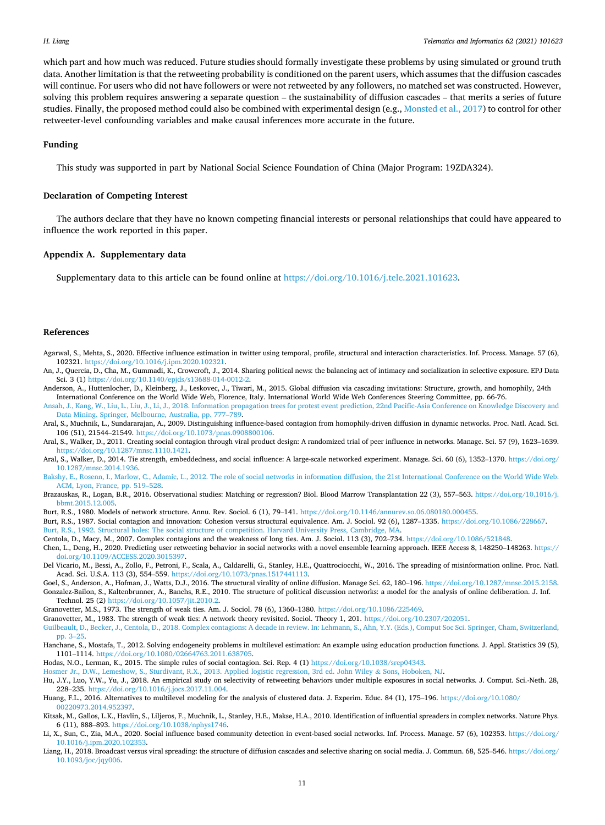<span id="page-10-0"></span>which part and how much was reduced. Future studies should formally investigate these problems by using simulated or ground truth data. Another limitation is that the retweeting probability is conditioned on the parent users, which assumes that the diffusion cascades will continue. For users who did not have followers or were not retweeted by any followers, no matched set was constructed. However, solving this problem requires answering a separate question – the sustainability of diffusion cascades – that merits a series of future studies. Finally, the proposed method could also be combined with experimental design (e.g., [Monsted et al., 2017](#page-11-0)) to control for other retweeter-level confounding variables and make causal inferences more accurate in the future.

#### **Funding**

This study was supported in part by National Social Science Foundation of China (Major Program: 19ZDA324).

#### **Declaration of Competing Interest**

The authors declare that they have no known competing financial interests or personal relationships that could have appeared to influence the work reported in this paper.

#### **Appendix A. Supplementary data**

Supplementary data to this article can be found online at [https://doi.org/10.1016/j.tele.2021.101623.](https://doi.org/10.1016/j.tele.2021.101623)

#### **References**

- Agarwal, S., Mehta, S., 2020. Effective influence estimation in twitter using temporal, profile, structural and interaction characteristics. Inf. Process. Manage. 57 (6), 102321.<https://doi.org/10.1016/j.ipm.2020.102321>.
- An, J., Quercia, D., Cha, M., Gummadi, K., Crowcroft, J., 2014. Sharing political news: the balancing act of intimacy and socialization in selective exposure. EPJ Data Sci. 3 (1)<https://doi.org/10.1140/epjds/s13688-014-0012-2>.
- Anderson, A., Huttenlocher, D., Kleinberg, J., Leskovec, J., Tiwari, M., 2015. Global diffusion via cascading invitations: Structure, growth, and homophily, 24th International Conference on the World Wide Web, Florence, Italy. International World Wide Web Conferences Steering Committee, pp. 66-76.

sah, J., Kang, W., Liu, L., Liu, J., Li, J., 2018. Information propagation trees for protest event prediction, 22nd Pacific-Asia Conference on Knowledge Discovery and [Data Mining. Springer, Melbourne, Australia, pp. 777](http://refhub.elsevier.com/S0736-5853(21)00062-9/h0020)–789.

- Aral, S., Muchnik, L., Sundararajan, A., 2009. Distinguishing influence-based contagion from homophily-driven diffusion in dynamic networks. Proc. Natl. Acad. Sci. 106 (51), 21544–21549. <https://doi.org/10.1073/pnas.0908800106>.
- Aral, S., Walker, D., 2011. Creating social contagion through viral product design: A randomized trial of peer influence in networks. Manage. Sci. 57 (9), 1623–1639. [https://doi.org/10.1287/mnsc.1110.1421.](https://doi.org/10.1287/mnsc.1110.1421)
- Aral, S., Walker, D., 2014. Tie strength, embeddedness, and social influence: A large-scale networked experiment. Manage. Sci. 60 (6), 1352-1370. [https://doi.org/](https://doi.org/10.1287/mnsc.2014.1936) [10.1287/mnsc.2014.1936](https://doi.org/10.1287/mnsc.2014.1936).
- [Bakshy, E., Rosenn, I., Marlow, C., Adamic, L., 2012. The role of social networks in information diffusion, the 21st International Conference on the World Wide Web.](http://refhub.elsevier.com/S0736-5853(21)00062-9/h0040) [ACM, Lyon, France, pp. 519](http://refhub.elsevier.com/S0736-5853(21)00062-9/h0040)–528.
- Brazauskas, R., Logan, B.R., 2016. Observational studies: Matching or regression? Biol. Blood Marrow Transplantation 22 (3), 557-563. [https://doi.org/10.1016/j.](https://doi.org/10.1016/j.bbmt.2015.12.005) [bbmt.2015.12.005](https://doi.org/10.1016/j.bbmt.2015.12.005).
- Burt, R.S., 1980. Models of network structure. Annu. Rev. Sociol. 6 (1), 79–141. [https://doi.org/10.1146/annurev.so.06.080180.000455.](https://doi.org/10.1146/annurev.so.06.080180.000455)
- Burt, R.S., 1987. Social contagion and innovation: Cohesion versus structural equivalence. Am. J. Sociol. 92 (6), 1287–1335. [https://doi.org/10.1086/228667.](https://doi.org/10.1086/228667)
- [Burt, R.S., 1992. Structural holes: The social structure of competition. Harvard University Press, Cambridge, MA.](http://refhub.elsevier.com/S0736-5853(21)00062-9/h0060)
- Centola, D., Macy, M., 2007. Complex contagions and the weakness of long ties. Am. J. Sociol. 113 (3), 702–734. <https://doi.org/10.1086/521848>.
- Chen, L., Deng, H., 2020. Predicting user retweeting behavior in social networks with a novel ensemble learning approach. IEEE Access 8, 148250–148263. [https://](https://doi.org/10.1109/ACCESS.2020.3015397) [doi.org/10.1109/ACCESS.2020.3015397](https://doi.org/10.1109/ACCESS.2020.3015397).
- Del Vicario, M., Bessi, A., Zollo, F., Petroni, F., Scala, A., Caldarelli, G., Stanley, H.E., Quattrociocchi, W., 2016. The spreading of misinformation online. Proc. Natl. Acad. Sci. U.S.A. 113 (3), 554–559. [https://doi.org/10.1073/pnas.1517441113.](https://doi.org/10.1073/pnas.1517441113)
- Goel, S., Anderson, A., Hofman, J., Watts, D.J., 2016. The structural virality of online diffusion. Manage Sci. 62, 180-196.<https://doi.org/10.1287/mnsc.2015.2158>. Gonzalez-Bailon, S., Kaltenbrunner, A., Banchs, R.E., 2010. The structure of political discussion networks: a model for the analysis of online deliberation. J. Inf. Technol. 25 (2) <https://doi.org/10.1057/jit.2010.2>.
- Granovetter, M.S., 1973. The strength of weak ties. Am. J. Sociol. 78 (6), 1360–1380. [https://doi.org/10.1086/225469.](https://doi.org/10.1086/225469)
- Granovetter, M., 1983. The strength of weak ties: A network theory revisited. Sociol. Theory 1, 201. <https://doi.org/10.2307/202051>.

[Guilbeault, D., Becker, J., Centola, D., 2018. Complex contagions: A decade in review. In: Lehmann, S., Ahn, Y.Y. \(Eds.\), Comput Soc Sci. Springer, Cham, Switzerland,](http://refhub.elsevier.com/S0736-5853(21)00062-9/h0095) [pp. 3](http://refhub.elsevier.com/S0736-5853(21)00062-9/h0095)–25.

Hanchane, S., Mostafa, T., 2012. Solving endogeneity problems in multilevel estimation: An example using education production functions. J. Appl. Statistics 39 (5), 1101–1114. [https://doi.org/10.1080/02664763.2011.638705.](https://doi.org/10.1080/02664763.2011.638705)

Hodas, N.O., Lerman, K., 2015. The simple rules of social contagion. Sci. Rep. 4 (1) [https://doi.org/10.1038/srep04343.](https://doi.org/10.1038/srep04343)

[Hosmer Jr., D.W., Lemeshow, S., Sturdivant, R.X., 2013. Applied logistic regression, 3rd ed. John Wiley](http://refhub.elsevier.com/S0736-5853(21)00062-9/h0110) & Sons, Hoboken, NJ.

Hu, J.Y., Luo, Y.W., Yu, J., 2018. An empirical study on selectivity of retweeting behaviors under multiple exposures in social networks. J. Comput. Sci.-Neth. 28, 228–235. [https://doi.org/10.1016/j.jocs.2017.11.004.](https://doi.org/10.1016/j.jocs.2017.11.004)

Huang, F.L., 2016. Alternatives to multilevel modeling for the analysis of clustered data. J. Experim. Educ. 84 (1), 175–196. [https://doi.org/10.1080/](https://doi.org/10.1080/00220973.2014.952397)  [00220973.2014.952397](https://doi.org/10.1080/00220973.2014.952397).

- Kitsak, M., Gallos, L.K., Havlin, S., Liljeros, F., Muchnik, L., Stanley, H.E., Makse, H.A., 2010. Identification of influential spreaders in complex networks. Nature Phys. 6 (11), 888–893. <https://doi.org/10.1038/nphys1746>.
- Li, X., Sun, C., Zia, M.A., 2020. Social influence based community detection in event-based social networks. Inf. Process. Manage. 57 (6), 102353. [https://doi.org/](https://doi.org/10.1016/j.ipm.2020.102353) [10.1016/j.ipm.2020.102353](https://doi.org/10.1016/j.ipm.2020.102353).
- Liang, H., 2018. Broadcast versus viral spreading: the structure of diffusion cascades and selective sharing on social media. J. Commun. 68, 525–546. [https://doi.org/](https://doi.org/10.1093/joc/jqy006) [10.1093/joc/jqy006](https://doi.org/10.1093/joc/jqy006).